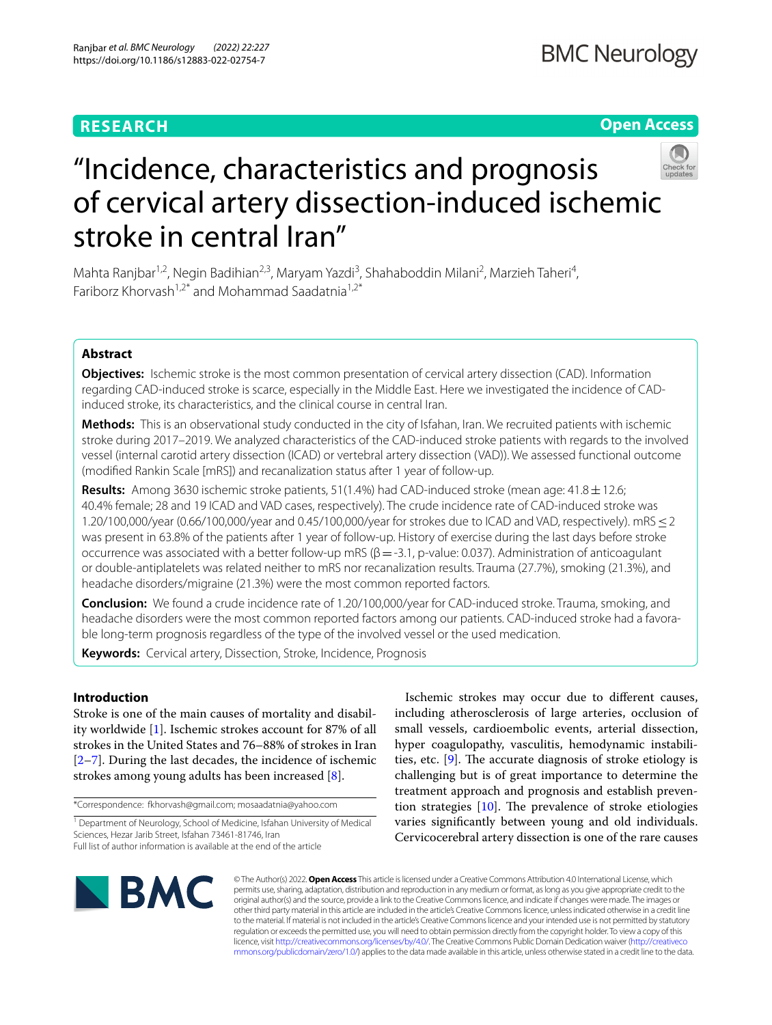# **RESEARCH**

# **Open Access**



# "Incidence, characteristics and prognosis of cervical artery dissection-induced ischemic stroke in central Iran"

Mahta Ranjbar<sup>1,2</sup>, Negin Badihian<sup>2,3</sup>, Maryam Yazdi<sup>3</sup>, Shahaboddin Milani<sup>2</sup>, Marzieh Taheri<sup>4</sup>, Fariborz Khorvash<sup>1,2\*</sup> and Mohammad Saadatnia<sup>1,2\*</sup>

## **Abstract**

**Objectives:** Ischemic stroke is the most common presentation of cervical artery dissection (CAD). Information regarding CAD-induced stroke is scarce, especially in the Middle East. Here we investigated the incidence of CADinduced stroke, its characteristics, and the clinical course in central Iran.

**Methods:** This is an observational study conducted in the city of Isfahan, Iran. We recruited patients with ischemic stroke during 2017–2019. We analyzed characteristics of the CAD-induced stroke patients with regards to the involved vessel (internal carotid artery dissection (ICAD) or vertebral artery dissection (VAD)). We assessed functional outcome (modifed Rankin Scale [mRS]) and recanalization status after 1 year of follow-up.

**Results:** Among 3630 ischemic stroke patients, 51(1.4%) had CAD-induced stroke (mean age: 41.8±12.6; 40.4% female; 28 and 19 ICAD and VAD cases, respectively). The crude incidence rate of CAD-induced stroke was 1.20/100,000/year (0.66/100,000/year and 0.45/100,000/year for strokes due to ICAD and VAD, respectively). mRS≤2 was present in 63.8% of the patients after 1 year of follow-up. History of exercise during the last days before stroke occurrence was associated with a better follow-up mRS ( $\beta$  = -3.1, p-value: 0.037). Administration of anticoagulant or double-antiplatelets was related neither to mRS nor recanalization results. Trauma (27.7%), smoking (21.3%), and headache disorders/migraine (21.3%) were the most common reported factors.

**Conclusion:** We found a crude incidence rate of 1.20/100,000/year for CAD-induced stroke. Trauma, smoking, and headache disorders were the most common reported factors among our patients. CAD-induced stroke had a favorable long-term prognosis regardless of the type of the involved vessel or the used medication.

**Keywords:** Cervical artery, Dissection, Stroke, Incidence, Prognosis

## **Introduction**

Stroke is one of the main causes of mortality and disability worldwide [\[1](#page-7-0)]. Ischemic strokes account for 87% of all strokes in the United States and 76–88% of strokes in Iran [[2–](#page-7-1)[7\]](#page-7-2). During the last decades, the incidence of ischemic strokes among young adults has been increased [[8](#page-7-3)].

\*Correspondence: fkhorvash@gmail.com; mosaadatnia@yahoo.com

<sup>1</sup> Department of Neurology, School of Medicine, Isfahan University of Medical Sciences, Hezar Jarib Street, Isfahan 73461-81746, Iran Full list of author information is available at the end of the article

Ischemic strokes may occur due to diferent causes, including atherosclerosis of large arteries, occlusion of small vessels, cardioembolic events, arterial dissection, hyper coagulopathy, vasculitis, hemodynamic instabilities, etc.  $[9]$  $[9]$ . The accurate diagnosis of stroke etiology is challenging but is of great importance to determine the treatment approach and prognosis and establish prevention strategies  $[10]$  $[10]$ . The prevalence of stroke etiologies varies signifcantly between young and old individuals. Cervicocerebral artery dissection is one of the rare causes



© The Author(s) 2022. **Open Access** This article is licensed under a Creative Commons Attribution 4.0 International License, which permits use, sharing, adaptation, distribution and reproduction in any medium or format, as long as you give appropriate credit to the original author(s) and the source, provide a link to the Creative Commons licence, and indicate if changes were made. The images or other third party material in this article are included in the article's Creative Commons licence, unless indicated otherwise in a credit line to the material. If material is not included in the article's Creative Commons licence and your intended use is not permitted by statutory regulation or exceeds the permitted use, you will need to obtain permission directly from the copyright holder. To view a copy of this licence, visit [http://creativecommons.org/licenses/by/4.0/.](http://creativecommons.org/licenses/by/4.0/) The Creative Commons Public Domain Dedication waiver ([http://creativeco](http://creativecommons.org/publicdomain/zero/1.0/) [mmons.org/publicdomain/zero/1.0/](http://creativecommons.org/publicdomain/zero/1.0/)) applies to the data made available in this article, unless otherwise stated in a credit line to the data.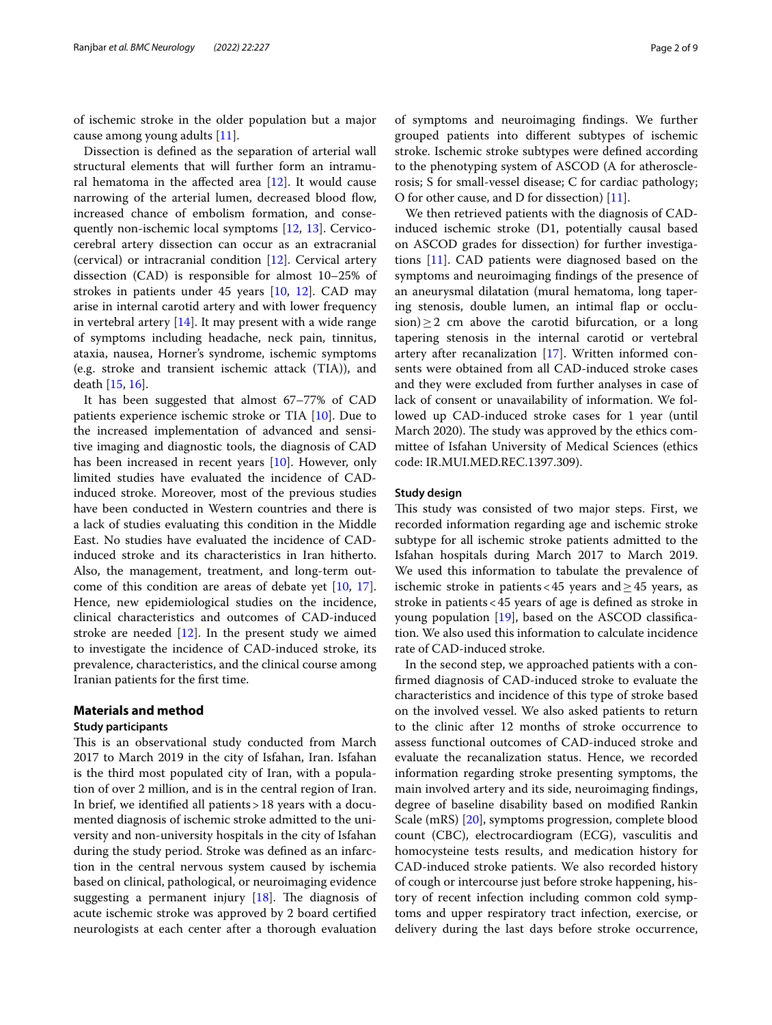of ischemic stroke in the older population but a major cause among young adults [[11](#page-8-0)].

Dissection is defned as the separation of arterial wall structural elements that will further form an intramural hematoma in the afected area [[12\]](#page-8-1). It would cause narrowing of the arterial lumen, decreased blood flow, increased chance of embolism formation, and consequently non-ischemic local symptoms [\[12,](#page-8-1) [13](#page-8-2)]. Cervicocerebral artery dissection can occur as an extracranial (cervical) or intracranial condition [[12\]](#page-8-1). Cervical artery dissection (CAD) is responsible for almost 10–25% of strokes in patients under 45 years [[10](#page-7-5), [12\]](#page-8-1). CAD may arise in internal carotid artery and with lower frequency in vertebral artery [\[14](#page-8-3)]. It may present with a wide range of symptoms including headache, neck pain, tinnitus, ataxia, nausea, Horner's syndrome, ischemic symptoms (e.g. stroke and transient ischemic attack (TIA)), and death [[15,](#page-8-4) [16](#page-8-5)].

It has been suggested that almost 67–77% of CAD patients experience ischemic stroke or TIA [\[10](#page-7-5)]. Due to the increased implementation of advanced and sensitive imaging and diagnostic tools, the diagnosis of CAD has been increased in recent years [\[10](#page-7-5)]. However, only limited studies have evaluated the incidence of CADinduced stroke. Moreover, most of the previous studies have been conducted in Western countries and there is a lack of studies evaluating this condition in the Middle East. No studies have evaluated the incidence of CADinduced stroke and its characteristics in Iran hitherto. Also, the management, treatment, and long-term outcome of this condition are areas of debate yet [\[10](#page-7-5), [17](#page-8-6)]. Hence, new epidemiological studies on the incidence, clinical characteristics and outcomes of CAD-induced stroke are needed [[12\]](#page-8-1). In the present study we aimed to investigate the incidence of CAD-induced stroke, its prevalence, characteristics, and the clinical course among Iranian patients for the frst time.

## **Materials and method**

#### **Study participants**

This is an observational study conducted from March 2017 to March 2019 in the city of Isfahan, Iran. Isfahan is the third most populated city of Iran, with a population of over 2 million, and is in the central region of Iran. In brief, we identifed all patients>18 years with a documented diagnosis of ischemic stroke admitted to the university and non-university hospitals in the city of Isfahan during the study period. Stroke was defned as an infarction in the central nervous system caused by ischemia based on clinical, pathological, or neuroimaging evidence suggesting a permanent injury  $[18]$  $[18]$ . The diagnosis of acute ischemic stroke was approved by 2 board certifed neurologists at each center after a thorough evaluation of symptoms and neuroimaging fndings. We further grouped patients into diferent subtypes of ischemic stroke. Ischemic stroke subtypes were defned according to the phenotyping system of ASCOD (A for atherosclerosis; S for small-vessel disease; C for cardiac pathology; O for other cause, and D for dissection) [\[11\]](#page-8-0).

We then retrieved patients with the diagnosis of CADinduced ischemic stroke (D1, potentially causal based on ASCOD grades for dissection) for further investigations [\[11](#page-8-0)]. CAD patients were diagnosed based on the symptoms and neuroimaging fndings of the presence of an aneurysmal dilatation (mural hematoma, long tapering stenosis, double lumen, an intimal fap or occlusion) $\geq$  2 cm above the carotid bifurcation, or a long tapering stenosis in the internal carotid or vertebral artery after recanalization [[17\]](#page-8-6). Written informed consents were obtained from all CAD-induced stroke cases and they were excluded from further analyses in case of lack of consent or unavailability of information. We followed up CAD-induced stroke cases for 1 year (until March 2020). The study was approved by the ethics committee of Isfahan University of Medical Sciences (ethics code: IR.MUI.MED.REC.1397.309).

## **Study design**

This study was consisted of two major steps. First, we recorded information regarding age and ischemic stroke subtype for all ischemic stroke patients admitted to the Isfahan hospitals during March 2017 to March 2019. We used this information to tabulate the prevalence of ischemic stroke in patients <45 years and  $\geq$ 45 years, as stroke in patients<45 years of age is defned as stroke in young population [[19\]](#page-8-8), based on the ASCOD classifcation. We also used this information to calculate incidence rate of CAD-induced stroke.

In the second step, we approached patients with a confrmed diagnosis of CAD-induced stroke to evaluate the characteristics and incidence of this type of stroke based on the involved vessel. We also asked patients to return to the clinic after 12 months of stroke occurrence to assess functional outcomes of CAD-induced stroke and evaluate the recanalization status. Hence, we recorded information regarding stroke presenting symptoms, the main involved artery and its side, neuroimaging fndings, degree of baseline disability based on modifed Rankin Scale (mRS) [[20\]](#page-8-9), symptoms progression, complete blood count (CBC), electrocardiogram (ECG), vasculitis and homocysteine tests results, and medication history for CAD-induced stroke patients. We also recorded history of cough or intercourse just before stroke happening, history of recent infection including common cold symptoms and upper respiratory tract infection, exercise, or delivery during the last days before stroke occurrence,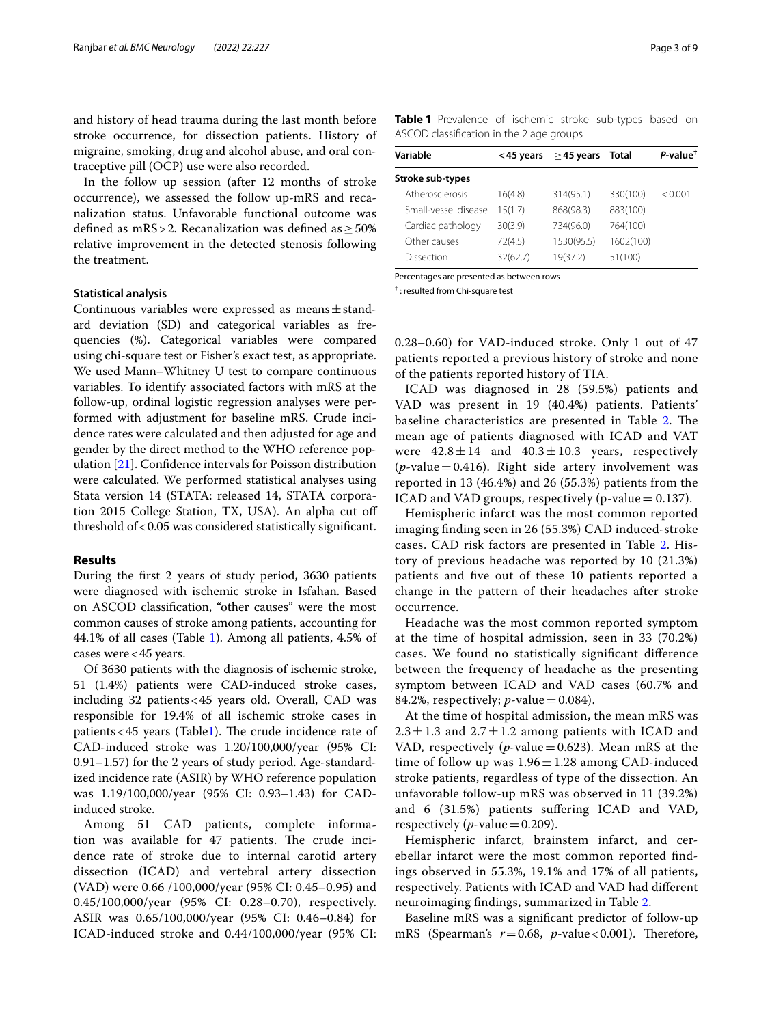and history of head trauma during the last month before stroke occurrence, for dissection patients. History of migraine, smoking, drug and alcohol abuse, and oral contraceptive pill (OCP) use were also recorded.

In the follow up session (after 12 months of stroke occurrence), we assessed the follow up-mRS and recanalization status. Unfavorable functional outcome was defined as mRS > 2. Recanalization was defined as  $>50\%$ relative improvement in the detected stenosis following the treatment.

#### **Statistical analysis**

Continuous variables were expressed as means $\pm$ standard deviation (SD) and categorical variables as frequencies (%). Categorical variables were compared using chi-square test or Fisher's exact test, as appropriate. We used Mann–Whitney U test to compare continuous variables. To identify associated factors with mRS at the follow-up, ordinal logistic regression analyses were performed with adjustment for baseline mRS. Crude incidence rates were calculated and then adjusted for age and gender by the direct method to the WHO reference population [[21\]](#page-8-10). Confdence intervals for Poisson distribution were calculated. We performed statistical analyses using Stata version 14 (STATA: released 14, STATA corporation 2015 College Station, TX, USA). An alpha cut of threshold of <0.05 was considered statistically significant.

## **Results**

During the frst 2 years of study period, 3630 patients were diagnosed with ischemic stroke in Isfahan. Based on ASCOD classifcation, "other causes" were the most common causes of stroke among patients, accounting for 44.1% of all cases (Table [1](#page-2-0)). Among all patients, 4.5% of cases were<45 years.

Of 3630 patients with the diagnosis of ischemic stroke, 51 (1.4%) patients were CAD-induced stroke cases, including 32 patients<45 years old. Overall, CAD was responsible for 19.4% of all ischemic stroke cases in patients < 45 years (Table[1\)](#page-2-0). The crude incidence rate of CAD-induced stroke was 1.20/100,000/year (95% CI: 0.91–1.57) for the 2 years of study period. Age-standardized incidence rate (ASIR) by WHO reference population was 1.19/100,000/year (95% CI: 0.93–1.43) for CADinduced stroke.

Among 51 CAD patients, complete information was available for 47 patients. The crude incidence rate of stroke due to internal carotid artery dissection (ICAD) and vertebral artery dissection (VAD) were 0.66 /100,000/year (95% CI: 0.45–0.95) and 0.45/100,000/year (95% CI: 0.28–0.70), respectively. ASIR was 0.65/100,000/year (95% CI: 0.46–0.84) for ICAD-induced stroke and 0.44/100,000/year (95% CI: <span id="page-2-0"></span>**Table 1** Prevalence of ischemic stroke sub-types based on ASCOD classifcation in the 2 age groups

| Variable             | <45 years | $\geq$ 45 years | Total     | $P$ -value <sup>†</sup> |
|----------------------|-----------|-----------------|-----------|-------------------------|
| Stroke sub-types     |           |                 |           |                         |
| Atherosclerosis      | 16(4.8)   | 314(95.1)       | 330(100)  | < 0.001                 |
| Small-vessel disease | 15(1.7)   | 868(98.3)       | 883(100)  |                         |
| Cardiac pathology    | 30(3.9)   | 734(96.0)       | 764(100)  |                         |
| Other causes         | 72(4.5)   | 1530(95.5)      | 1602(100) |                         |
| Dissection           | 32(62.7)  | 19(37.2)        | 51(100)   |                         |

Percentages are presented as between rows

† : resulted from Chi-square test

0.28–0.60) for VAD-induced stroke. Only 1 out of 47 patients reported a previous history of stroke and none of the patients reported history of TIA.

ICAD was diagnosed in 28 (59.5%) patients and VAD was present in 19 (40.4%) patients. Patients' baseline characteristics are presented in Table [2](#page-3-0). The mean age of patients diagnosed with ICAD and VAT were  $42.8 \pm 14$  and  $40.3 \pm 10.3$  years, respectively  $(p$ -value = 0.416). Right side artery involvement was reported in 13 (46.4%) and 26 (55.3%) patients from the ICAD and VAD groups, respectively (p-value  $= 0.137$ ).

Hemispheric infarct was the most common reported imaging fnding seen in 26 (55.3%) CAD induced-stroke cases. CAD risk factors are presented in Table [2.](#page-3-0) History of previous headache was reported by 10 (21.3%) patients and fve out of these 10 patients reported a change in the pattern of their headaches after stroke occurrence.

Headache was the most common reported symptom at the time of hospital admission, seen in 33 (70.2%) cases. We found no statistically signifcant diference between the frequency of headache as the presenting symptom between ICAD and VAD cases (60.7% and 84.2%, respectively;  $p$ -value = 0.084).

At the time of hospital admission, the mean mRS was  $2.3 \pm 1.3$  and  $2.7 \pm 1.2$  among patients with ICAD and VAD, respectively ( $p$ -value = 0.623). Mean mRS at the time of follow up was  $1.96 \pm 1.28$  among CAD-induced stroke patients, regardless of type of the dissection. An unfavorable follow-up mRS was observed in 11 (39.2%) and 6 (31.5%) patients sufering ICAD and VAD, respectively ( $p$ -value = 0.209).

Hemispheric infarct, brainstem infarct, and cerebellar infarct were the most common reported fndings observed in 55.3%, 19.1% and 17% of all patients, respectively. Patients with ICAD and VAD had diferent neuroimaging fndings, summarized in Table [2.](#page-3-0)

Baseline mRS was a signifcant predictor of follow-up mRS (Spearman's  $r=0.68$ ,  $p$ -value < 0.001). Therefore,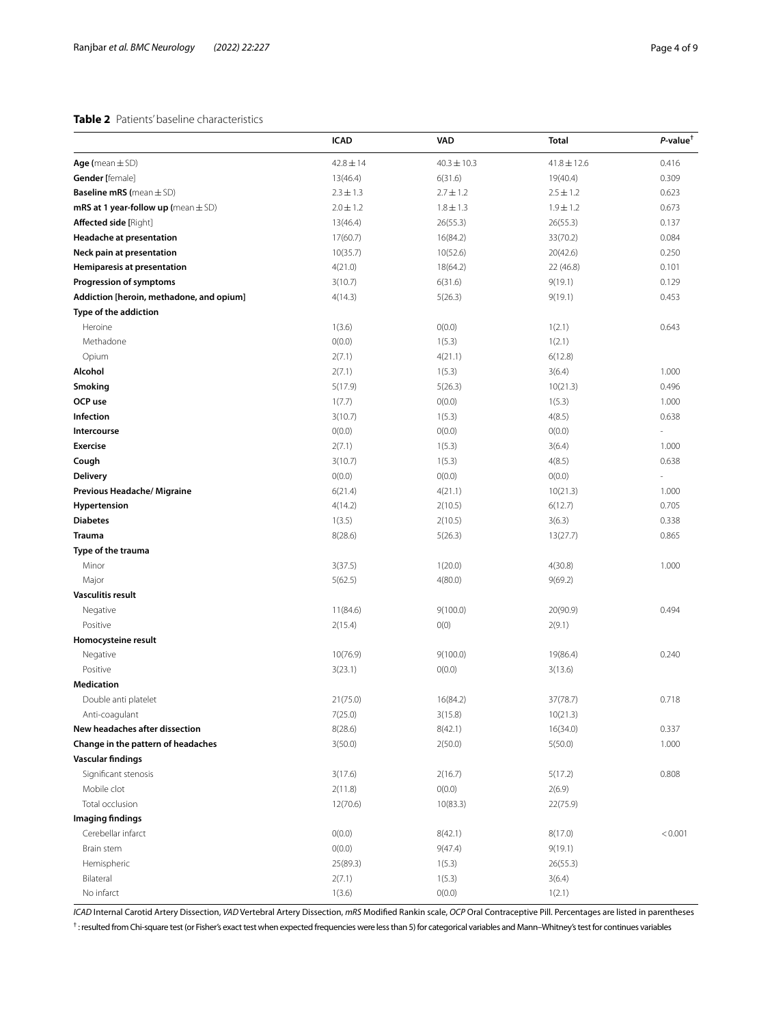## <span id="page-3-0"></span>**Table 2** Patients' baseline characteristics

|                                           | ICAD          | <b>VAD</b>      | Total           | $P$ -value <sup>†</sup>  |
|-------------------------------------------|---------------|-----------------|-----------------|--------------------------|
| Age (mean $\pm$ SD)                       | $42.8 \pm 14$ | $40.3 \pm 10.3$ | $41.8 \pm 12.6$ | 0.416                    |
| <b>Gender</b> [female]                    | 13(46.4)      | 6(31.6)         | 19(40.4)        | 0.309                    |
| <b>Baseline mRS</b> (mean $\pm$ SD)       | $2.3 \pm 1.3$ | $2.7 \pm 1.2$   | $2.5 \pm 1.2$   | 0.623                    |
| $mRS$ at 1 year-follow up (mean $\pm$ SD) | $2.0 \pm 1.2$ | $1.8 \pm 1.3$   | $1.9 \pm 1.2$   | 0.673                    |
| <b>Affected side [Right]</b>              | 13(46.4)      | 26(55.3)        | 26(55.3)        | 0.137                    |
| Headache at presentation                  | 17(60.7)      | 16(84.2)        | 33(70.2)        | 0.084                    |
| Neck pain at presentation                 | 10(35.7)      | 10(52.6)        | 20(42.6)        | 0.250                    |
| Hemiparesis at presentation               | 4(21.0)       | 18(64.2)        | 22 (46.8)       | 0.101                    |
| Progression of symptoms                   | 3(10.7)       | 6(31.6)         | 9(19.1)         | 0.129                    |
| Addiction [heroin, methadone, and opium]  | 4(14.3)       | 5(26.3)         | 9(19.1)         | 0.453                    |
| Type of the addiction                     |               |                 |                 |                          |
| Heroine                                   | 1(3.6)        | O(0.0)          | 1(2.1)          | 0.643                    |
| Methadone                                 | O(0.0)        | 1(5.3)          | 1(2.1)          |                          |
| Opium                                     | 2(7.1)        | 4(21.1)         | 6(12.8)         |                          |
| Alcohol                                   | 2(7.1)        | 1(5.3)          | 3(6.4)          | 1.000                    |
| Smoking                                   | 5(17.9)       | 5(26.3)         | 10(21.3)        | 0.496                    |
| OCP use                                   | 1(7.7)        | O(0.0)          | 1(5.3)          | 1.000                    |
| Infection                                 | 3(10.7)       | 1(5.3)          | 4(8.5)          | 0.638                    |
| Intercourse                               | O(0.0)        | O(0.0)          | O(0.0)          | $\overline{\phantom{a}}$ |
| <b>Exercise</b>                           | 2(7.1)        | 1(5.3)          | 3(6.4)          | 1.000                    |
| Cough                                     | 3(10.7)       | 1(5.3)          | 4(8.5)          | 0.638                    |
| <b>Delivery</b>                           | O(0.0)        | O(0.0)          | O(0.0)          | ä,                       |
| Previous Headache/ Migraine               | 6(21.4)       | 4(21.1)         | 10(21.3)        | 1.000                    |
| Hypertension                              | 4(14.2)       | 2(10.5)         | 6(12.7)         | 0.705                    |
| <b>Diabetes</b>                           | 1(3.5)        | 2(10.5)         | 3(6.3)          | 0.338                    |
| <b>Trauma</b>                             | 8(28.6)       | 5(26.3)         | 13(27.7)        | 0.865                    |
| Type of the trauma                        |               |                 |                 |                          |
| Minor                                     | 3(37.5)       | 1(20.0)         | 4(30.8)         | 1.000                    |
| Major                                     | 5(62.5)       | 4(80.0)         | 9(69.2)         |                          |
| <b>Vasculitis result</b>                  |               |                 |                 |                          |
| Negative                                  | 11(84.6)      | 9(100.0)        | 20(90.9)        | 0.494                    |
| Positive                                  | 2(15.4)       | O(0)            | 2(9.1)          |                          |
| Homocysteine result                       |               |                 |                 |                          |
| Negative                                  | 10(76.9)      | 9(100.0)        | 19(86.4)        | 0.240                    |
| Positive                                  | 3(23.1)       | O(0.0)          | 3(13.6)         |                          |
| <b>Medication</b>                         |               |                 |                 |                          |
| Double anti platelet                      | 21(75.0)      | 16(84.2)        | 37(78.7)        | 0.718                    |
| Anti-coagulant                            | 7(25.0)       | 3(15.8)         | 10(21.3)        |                          |
| New headaches after dissection            | 8(28.6)       | 8(42.1)         | 16(34.0)        | 0.337                    |
| Change in the pattern of headaches        | 3(50.0)       | 2(50.0)         | 5(50.0)         | 1.000                    |
| <b>Vascular findings</b>                  |               |                 |                 |                          |
| Significant stenosis                      | 3(17.6)       | 2(16.7)         | 5(17.2)         | 0.808                    |
| Mobile clot                               | 2(11.8)       | O(0.0)          | 2(6.9)          |                          |
| Total occlusion                           | 12(70.6)      | 10(83.3)        | 22(75.9)        |                          |
| <b>Imaging findings</b>                   |               |                 |                 |                          |
| Cerebellar infarct                        | O(0.0)        | 8(42.1)         | 8(17.0)         | < 0.001                  |
| Brain stem                                | O(0.0)        | 9(47.4)         | 9(19.1)         |                          |
| Hemispheric                               | 25(89.3)      | 1(5.3)          | 26(55.3)        |                          |
| Bilateral                                 | 2(7.1)        | 1(5.3)          | 3(6.4)          |                          |
| No infarct                                | 1(3.6)        | O(0.0)          | 1(2.1)          |                          |

*ICAD* Internal Carotid Artery Dissection, *VAD* Vertebral Artery Dissection, *mRS* Modifed Rankin scale, *OCP* Oral Contraceptive Pill. Percentages are listed in parentheses

† : resulted from Chi-square test (or Fisher's exact test when expected frequencies were less than 5) for categorical variables and Mann–Whitney's test for continues variables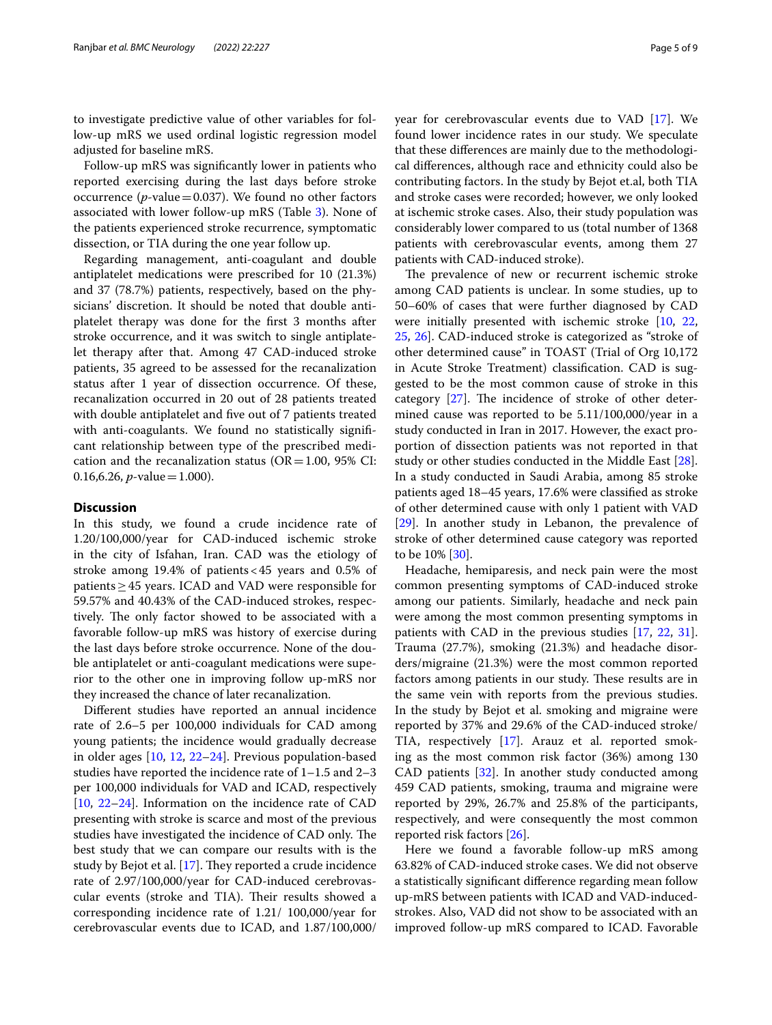to investigate predictive value of other variables for follow-up mRS we used ordinal logistic regression model adjusted for baseline mRS.

Follow-up mRS was signifcantly lower in patients who reported exercising during the last days before stroke occurrence ( $p$ -value=0.037). We found no other factors associated with lower follow-up mRS (Table [3](#page-5-0)). None of the patients experienced stroke recurrence, symptomatic dissection, or TIA during the one year follow up.

Regarding management, anti-coagulant and double antiplatelet medications were prescribed for 10 (21.3%) and 37 (78.7%) patients, respectively, based on the physicians' discretion. It should be noted that double antiplatelet therapy was done for the frst 3 months after stroke occurrence, and it was switch to single antiplatelet therapy after that. Among 47 CAD-induced stroke patients, 35 agreed to be assessed for the recanalization status after 1 year of dissection occurrence. Of these, recanalization occurred in 20 out of 28 patients treated with double antiplatelet and fve out of 7 patients treated with anti-coagulants. We found no statistically signifcant relationship between type of the prescribed medication and the recanalization status ( $OR = 1.00$ , 95% CI: 0.16,6.26, *p*-value = 1.000).

## **Discussion**

In this study, we found a crude incidence rate of 1.20/100,000/year for CAD-induced ischemic stroke in the city of Isfahan, Iran. CAD was the etiology of stroke among 19.4% of patients<45 years and 0.5% of patients≥45 years. ICAD and VAD were responsible for 59.57% and 40.43% of the CAD-induced strokes, respectively. The only factor showed to be associated with a favorable follow-up mRS was history of exercise during the last days before stroke occurrence. None of the double antiplatelet or anti-coagulant medications were superior to the other one in improving follow up-mRS nor they increased the chance of later recanalization.

Diferent studies have reported an annual incidence rate of 2.6–5 per 100,000 individuals for CAD among young patients; the incidence would gradually decrease in older ages [[10,](#page-7-5) [12,](#page-8-1) [22–](#page-8-11)[24\]](#page-8-12). Previous population-based studies have reported the incidence rate of 1–1.5 and 2–3 per 100,000 individuals for VAD and ICAD, respectively [[10,](#page-7-5) [22](#page-8-11)[–24](#page-8-12)]. Information on the incidence rate of CAD presenting with stroke is scarce and most of the previous studies have investigated the incidence of CAD only. The best study that we can compare our results with is the study by Bejot et al.  $[17]$  $[17]$ . They reported a crude incidence rate of 2.97/100,000/year for CAD-induced cerebrovascular events (stroke and TIA). Their results showed a corresponding incidence rate of 1.21/ 100,000/year for cerebrovascular events due to ICAD, and 1.87/100,000/ year for cerebrovascular events due to VAD [[17\]](#page-8-6). We found lower incidence rates in our study. We speculate that these diferences are mainly due to the methodological diferences, although race and ethnicity could also be contributing factors. In the study by Bejot et.al, both TIA and stroke cases were recorded; however, we only looked at ischemic stroke cases. Also, their study population was considerably lower compared to us (total number of 1368 patients with cerebrovascular events, among them 27 patients with CAD-induced stroke).

The prevalence of new or recurrent ischemic stroke among CAD patients is unclear. In some studies, up to 50–60% of cases that were further diagnosed by CAD were initially presented with ischemic stroke [\[10](#page-7-5), [22](#page-8-11), [25,](#page-8-13) [26\]](#page-8-14). CAD-induced stroke is categorized as "stroke of other determined cause" in TOAST (Trial of Org 10,172 in Acute Stroke Treatment) classifcation. CAD is suggested to be the most common cause of stroke in this category [[27\]](#page-8-15). The incidence of stroke of other determined cause was reported to be 5.11/100,000/year in a study conducted in Iran in 2017. However, the exact proportion of dissection patients was not reported in that study or other studies conducted in the Middle East [\[28](#page-8-16)]. In a study conducted in Saudi Arabia, among 85 stroke patients aged 18–45 years, 17.6% were classifed as stroke of other determined cause with only 1 patient with VAD [[29\]](#page-8-17). In another study in Lebanon, the prevalence of stroke of other determined cause category was reported to be 10% [[30](#page-8-18)].

Headache, hemiparesis, and neck pain were the most common presenting symptoms of CAD-induced stroke among our patients. Similarly, headache and neck pain were among the most common presenting symptoms in patients with CAD in the previous studies [[17](#page-8-6), [22](#page-8-11), [31](#page-8-19)]. Trauma (27.7%), smoking (21.3%) and headache disorders/migraine (21.3%) were the most common reported factors among patients in our study. These results are in the same vein with reports from the previous studies. In the study by Bejot et al. smoking and migraine were reported by 37% and 29.6% of the CAD-induced stroke/ TIA, respectively [[17](#page-8-6)]. Arauz et al. reported smoking as the most common risk factor (36%) among 130 CAD patients [[32](#page-8-20)]. In another study conducted among 459 CAD patients, smoking, trauma and migraine were reported by 29%, 26.7% and 25.8% of the participants, respectively, and were consequently the most common reported risk factors [[26](#page-8-14)].

Here we found a favorable follow-up mRS among 63.82% of CAD-induced stroke cases. We did not observe a statistically signifcant diference regarding mean follow up-mRS between patients with ICAD and VAD-inducedstrokes. Also, VAD did not show to be associated with an improved follow-up mRS compared to ICAD. Favorable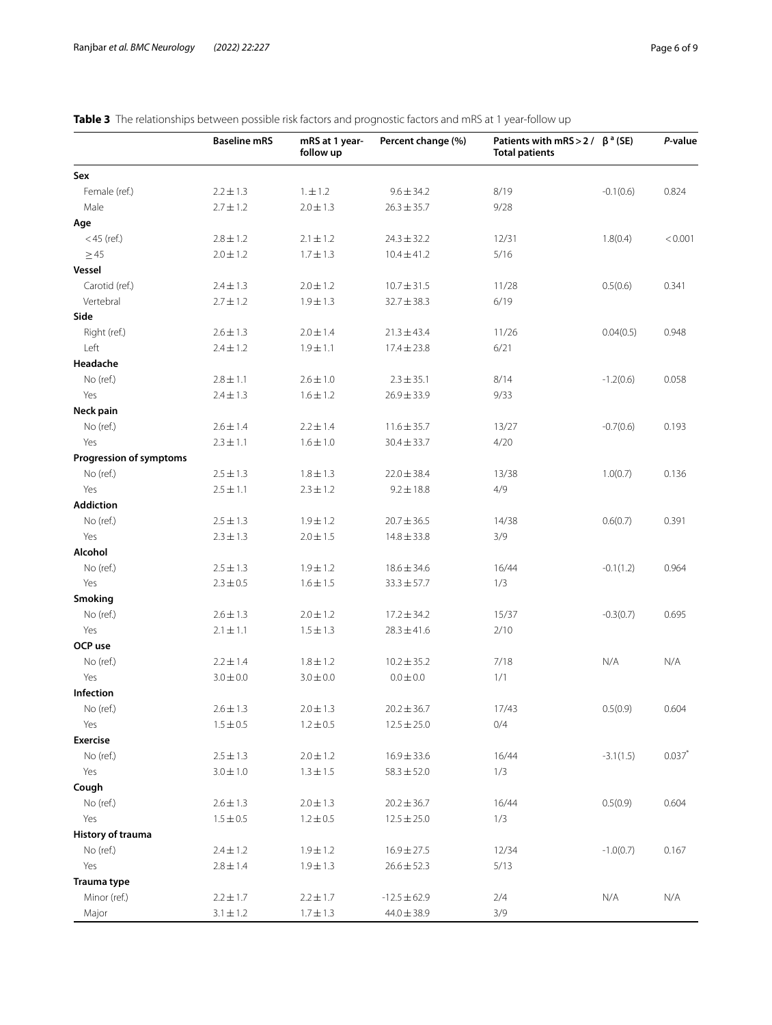|                                | <b>Baseline mRS</b> | mRS at 1 year-<br>follow up | Percent change (%) | Patients with mRS > 2 / $\beta^a$ (SE)<br><b>Total patients</b> |             | P-value   |
|--------------------------------|---------------------|-----------------------------|--------------------|-----------------------------------------------------------------|-------------|-----------|
| Sex                            |                     |                             |                    |                                                                 |             |           |
| Female (ref.)                  | $2.2 \pm 1.3$       | 1. ± 1.2                    | $9.6 \pm 34.2$     | 8/19                                                            | $-0.1(0.6)$ | 0.824     |
| Male                           | $2.7 \pm 1.2$       | $2.0 \pm 1.3$               | $26.3 \pm 35.7$    | 9/28                                                            |             |           |
| Age                            |                     |                             |                    |                                                                 |             |           |
| $<$ 45 (ref.)                  | $2.8 \pm 1.2$       | $2.1 \pm 1.2$               | $24.3 \pm 32.2$    | 12/31                                                           | 1.8(0.4)    | < 0.001   |
| $\geq$ 45                      | $2.0 \pm 1.2$       | $1.7 \pm 1.3$               | $10.4 \pm 41.2$    | 5/16                                                            |             |           |
| Vessel                         |                     |                             |                    |                                                                 |             |           |
| Carotid (ref.)                 | $2.4 \pm 1.3$       | $2.0 \pm 1.2$               | $10.7 \pm 31.5$    | 11/28                                                           | 0.5(0.6)    | 0.341     |
| Vertebral                      | $2.7 \pm 1.2$       | $1.9 \pm 1.3$               | $32.7 \pm 38.3$    | 6/19                                                            |             |           |
| Side                           |                     |                             |                    |                                                                 |             |           |
| Right (ref.)                   | $2.6 \pm 1.3$       | $2.0 \pm 1.4$               | $21.3 \pm 43.4$    | 11/26                                                           | 0.04(0.5)   | 0.948     |
| Left                           | $2.4 \pm 1.2$       | $1.9 \pm 1.1$               | $17.4 \pm 23.8$    | 6/21                                                            |             |           |
| Headache                       |                     |                             |                    |                                                                 |             |           |
| No (ref.)                      | $2.8 \pm 1.1$       | $2.6 \pm 1.0$               | $2.3 \pm 35.1$     | 8/14                                                            | $-1.2(0.6)$ | 0.058     |
| Yes                            | $2.4 \pm 1.3$       | $1.6 \pm 1.2$               | $26.9 \pm 33.9$    | 9/33                                                            |             |           |
| Neck pain                      |                     |                             |                    |                                                                 |             |           |
| No (ref.)                      | $2.6 \pm 1.4$       | $2.2 \pm 1.4$               | $11.6 \pm 35.7$    | 13/27                                                           | $-0.7(0.6)$ | 0.193     |
| Yes                            | $2.3 \pm 1.1$       | $1.6 \pm 1.0$               | $30.4 \pm 33.7$    | 4/20                                                            |             |           |
| <b>Progression of symptoms</b> |                     |                             |                    |                                                                 |             |           |
| No (ref.)                      | $2.5 \pm 1.3$       | $1.8 \pm 1.3$               | $22.0 \pm 38.4$    | 13/38                                                           | 1.0(0.7)    | 0.136     |
| Yes                            | $2.5 \pm 1.1$       | $2.3 \pm 1.2$               | $9.2 \pm 18.8$     | 4/9                                                             |             |           |
| <b>Addiction</b>               |                     |                             |                    |                                                                 |             |           |
| No (ref.)                      | $2.5 \pm 1.3$       | $1.9 \pm 1.2$               | $20.7 \pm 36.5$    | 14/38                                                           | 0.6(0.7)    | 0.391     |
| Yes                            | $2.3 \pm 1.3$       | $2.0 \pm 1.5$               | $14.8 \pm 33.8$    | 3/9                                                             |             |           |
| Alcohol                        |                     |                             |                    |                                                                 |             |           |
| No (ref.)                      | $2.5 \pm 1.3$       | $1.9 \pm 1.2$               | $18.6 \pm 34.6$    | 16/44                                                           | $-0.1(1.2)$ | 0.964     |
| Yes                            |                     |                             |                    | 1/3                                                             |             |           |
| Smoking                        | $2.3 \pm 0.5$       | $1.6 \pm 1.5$               | $33.3 \pm 57.7$    |                                                                 |             |           |
|                                |                     |                             |                    |                                                                 |             |           |
| No (ref.)                      | $2.6 \pm 1.3$       | $2.0 \pm 1.2$               | $17.2 \pm 34.2$    | 15/37                                                           | $-0.3(0.7)$ | 0.695     |
| Yes                            | $2.1 \pm 1.1$       | $1.5 \pm 1.3$               | $28.3 \pm 41.6$    | 2/10                                                            |             |           |
| OCP use                        |                     |                             |                    |                                                                 |             |           |
| No (ref.)                      | $2.2 \pm 1.4$       | $1.8 \pm 1.2$               | $10.2 \pm 35.2$    | 7/18                                                            | N/A         | N/A       |
| Yes                            | $3.0 \pm 0.0$       | $3.0 \pm 0.0$               | $0.0 \pm 0.0$      | 1/1                                                             |             |           |
| Infection                      |                     |                             |                    |                                                                 |             |           |
| No (ref.)                      | $2.6 \pm 1.3$       | $2.0 \pm 1.3$               | $20.2 \pm 36.7$    | 17/43                                                           | 0.5(0.9)    | 0.604     |
| Yes                            | $1.5 \pm 0.5$       | $1.2 \pm 0.5$               | $12.5 \pm 25.0$    | 0/4                                                             |             |           |
| <b>Exercise</b>                |                     |                             |                    |                                                                 |             |           |
| No (ref.)                      | $2.5\pm1.3$         | $2.0 \pm 1.2$               | $16.9 \pm 33.6$    | 16/44                                                           | $-3.1(1.5)$ | $0.037$ * |
| Yes                            | $3.0 \pm 1.0$       | $1.3 \pm 1.5$               | $58.3 \pm 52.0$    | 1/3                                                             |             |           |
| Cough                          |                     |                             |                    |                                                                 |             |           |
| No (ref.)                      | $2.6 \pm 1.3$       | $2.0 \pm 1.3$               | $20.2 \pm 36.7$    | 16/44                                                           | 0.5(0.9)    | 0.604     |
| Yes                            | $1.5 \pm 0.5$       | $1.2 \pm 0.5$               | $12.5 \pm 25.0$    | 1/3                                                             |             |           |
| History of trauma              |                     |                             |                    |                                                                 |             |           |
| No (ref.)                      | $2.4 \pm 1.2$       | $1.9 \pm 1.2$               | $16.9 \pm 27.5$    | 12/34                                                           | $-1.0(0.7)$ | 0.167     |
| Yes                            | $2.8 \pm 1.4$       | $1.9 \pm 1.3$               | $26.6 \pm 52.3$    | 5/13                                                            |             |           |
| Trauma type                    |                     |                             |                    |                                                                 |             |           |
| Minor (ref.)                   | $2.2 \pm 1.7$       | $2.2 \pm 1.7$               | $-12.5 \pm 62.9$   | 2/4                                                             | N/A         | N/A       |
| Major                          | $3.1 \pm 1.2$       | $1.7 \pm 1.3$               | $44.0 \pm 38.9$    | 3/9                                                             |             |           |

## <span id="page-5-0"></span>**Table 3** The relationships between possible risk factors and prognostic factors and mRS at 1 year-follow up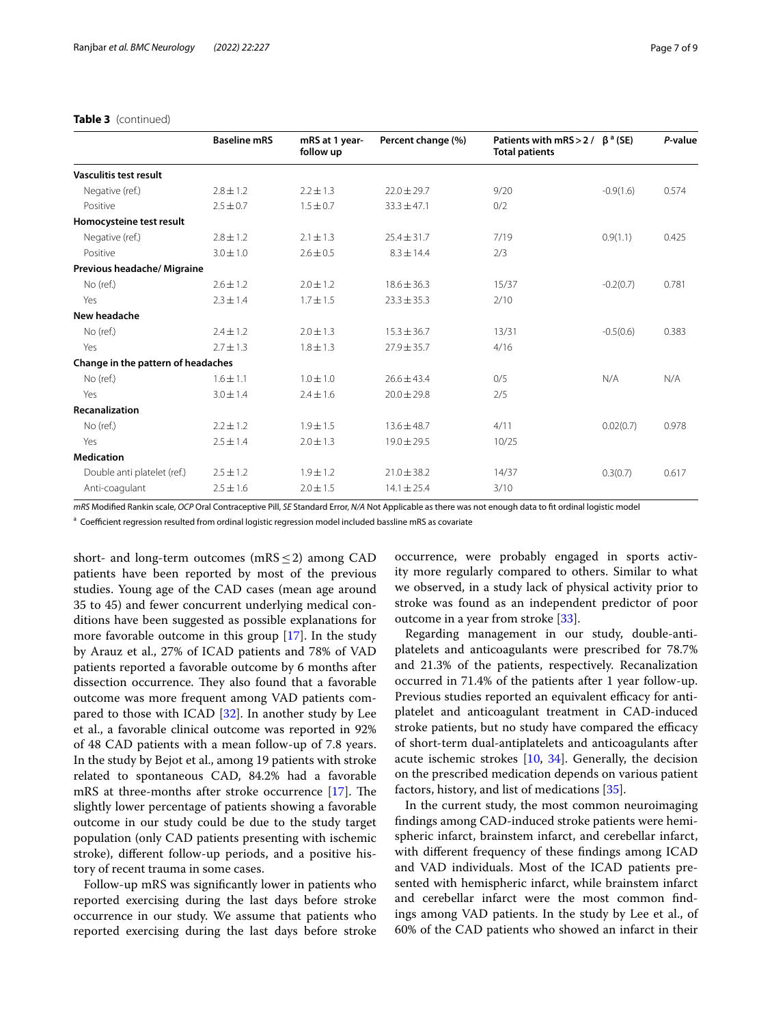**Recanalization**

**Medication**

**Change in the pattern of headaches**

| <b>Table 3</b> (continued)  |                     |                             |                    |                                                                 |             |         |  |
|-----------------------------|---------------------|-----------------------------|--------------------|-----------------------------------------------------------------|-------------|---------|--|
|                             | <b>Baseline mRS</b> | mRS at 1 year-<br>follow up | Percent change (%) | Patients with mRS > 2 / $\beta^a$ (SE)<br><b>Total patients</b> |             | P-value |  |
| Vasculitis test result      |                     |                             |                    |                                                                 |             |         |  |
| Negative (ref.)             | $2.8 \pm 1.2$       | $2.2 \pm 1.3$               | $22.0 \pm 29.7$    | 9/20                                                            | $-0.9(1.6)$ | 0.574   |  |
| Positive                    | $2.5 \pm 0.7$       | $1.5 \pm 0.7$               | $33.3 \pm 47.1$    | 0/2                                                             |             |         |  |
| Homocysteine test result    |                     |                             |                    |                                                                 |             |         |  |
| Negative (ref.)             | $2.8 \pm 1.2$       | $2.1 \pm 1.3$               | $25.4 \pm 31.7$    | 7/19                                                            | 0.9(1.1)    | 0.425   |  |
| Positive                    | $3.0 \pm 1.0$       | $2.6 \pm 0.5$               | $8.3 \pm 14.4$     | 2/3                                                             |             |         |  |
| Previous headache/ Migraine |                     |                             |                    |                                                                 |             |         |  |
| No (ref.)                   | $2.6 \pm 1.2$       | $2.0 \pm 1.2$               | $18.6 \pm 36.3$    | 15/37                                                           | $-0.2(0.7)$ | 0.781   |  |
| Yes                         | $2.3 \pm 1.4$       | $1.7 \pm 1.5$               | $23.3 \pm 35.3$    | 2/10                                                            |             |         |  |
| New headache                |                     |                             |                    |                                                                 |             |         |  |
| No (ref.)                   | $2.4 \pm 1.2$       | $2.0 \pm 1.3$               | $15.3 \pm 36.7$    | 13/31                                                           | $-0.5(0.6)$ | 0.383   |  |
| Yes                         | $2.7 \pm 1.3$       | $1.8 \pm 1.3$               | $27.9 \pm 35.7$    | 4/16                                                            |             |         |  |
|                             |                     |                             |                    |                                                                 |             |         |  |

*mRS* Modifed Rankin scale, *OCP* Oral Contraceptive Pill, *SE* Standard Error, *N/A* Not Applicable as there was not enough data to ft ordinal logistic model

No (ref.) 1.6 $\pm$ 1.1 1.0 $\pm$ 1.0 26.6 $\pm$ 43.4 0/5 N/A N/A N/A

No (ref.) 2.2±1.2 1.9±1.5 13.6±48.7 4/11 0.02(0.7) 0.978

Double anti platelet (ref.) 2.5±1.2 1.9±1.2 21.0±38.2 14/37 0.3(0.7) 0.617

<sup>a</sup> Coefficient regression resulted from ordinal logistic regression model included bassline mRS as covariate

Yes  $3.0 \pm 1.4$   $2.4 \pm 1.6$   $20.0 \pm 29.8$   $2/5$ 

Yes 2.5 $\pm$ 1.4 2.0 $\pm$ 1.3 19.0 $\pm$ 29.5 10/25

Anti-coagulant 2.5±1.6 2.0±1.5 14.1±25.4 3/10

short- and long-term outcomes (mRS $\leq$ 2) among CAD patients have been reported by most of the previous studies. Young age of the CAD cases (mean age around 35 to 45) and fewer concurrent underlying medical conditions have been suggested as possible explanations for more favorable outcome in this group [[17](#page-8-6)]. In the study by Arauz et al., 27% of ICAD patients and 78% of VAD patients reported a favorable outcome by 6 months after dissection occurrence. They also found that a favorable outcome was more frequent among VAD patients compared to those with ICAD [\[32](#page-8-20)]. In another study by Lee et al., a favorable clinical outcome was reported in 92% of 48 CAD patients with a mean follow-up of 7.8 years. In the study by Bejot et al., among 19 patients with stroke related to spontaneous CAD, 84.2% had a favorable mRS at three-months after stroke occurrence  $[17]$ . The slightly lower percentage of patients showing a favorable outcome in our study could be due to the study target population (only CAD patients presenting with ischemic stroke), diferent follow-up periods, and a positive history of recent trauma in some cases.

Follow-up mRS was signifcantly lower in patients who reported exercising during the last days before stroke occurrence in our study. We assume that patients who reported exercising during the last days before stroke occurrence, were probably engaged in sports activity more regularly compared to others. Similar to what we observed, in a study lack of physical activity prior to stroke was found as an independent predictor of poor outcome in a year from stroke [[33](#page-8-21)].

Regarding management in our study, double-antiplatelets and anticoagulants were prescribed for 78.7% and 21.3% of the patients, respectively. Recanalization occurred in 71.4% of the patients after 1 year follow-up. Previous studies reported an equivalent efficacy for antiplatelet and anticoagulant treatment in CAD-induced stroke patients, but no study have compared the efficacy of short-term dual-antiplatelets and anticoagulants after acute ischemic strokes  $[10, 34]$  $[10, 34]$  $[10, 34]$  $[10, 34]$ . Generally, the decision on the prescribed medication depends on various patient factors, history, and list of medications [\[35\]](#page-8-23).

In the current study, the most common neuroimaging fndings among CAD-induced stroke patients were hemispheric infarct, brainstem infarct, and cerebellar infarct, with diferent frequency of these fndings among ICAD and VAD individuals. Most of the ICAD patients presented with hemispheric infarct, while brainstem infarct and cerebellar infarct were the most common fndings among VAD patients. In the study by Lee et al., of 60% of the CAD patients who showed an infarct in their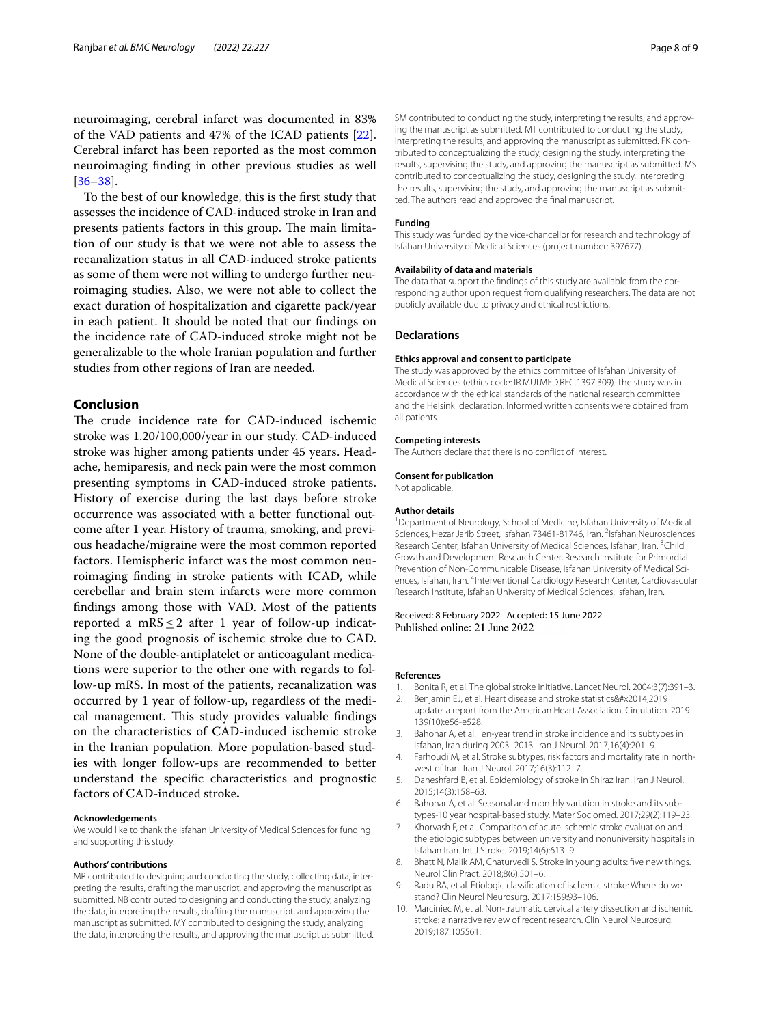neuroimaging, cerebral infarct was documented in 83% of the VAD patients and 47% of the ICAD patients [\[22](#page-8-11)]. Cerebral infarct has been reported as the most common neuroimaging fnding in other previous studies as well [[36–](#page-8-24)[38](#page-8-25)].

To the best of our knowledge, this is the frst study that assesses the incidence of CAD-induced stroke in Iran and presents patients factors in this group. The main limitation of our study is that we were not able to assess the recanalization status in all CAD-induced stroke patients as some of them were not willing to undergo further neuroimaging studies. Also, we were not able to collect the exact duration of hospitalization and cigarette pack/year in each patient. It should be noted that our fndings on the incidence rate of CAD-induced stroke might not be generalizable to the whole Iranian population and further studies from other regions of Iran are needed.

## **Conclusion**

The crude incidence rate for CAD-induced ischemic stroke was 1.20/100,000/year in our study. CAD-induced stroke was higher among patients under 45 years. Headache, hemiparesis, and neck pain were the most common presenting symptoms in CAD-induced stroke patients. History of exercise during the last days before stroke occurrence was associated with a better functional outcome after 1 year. History of trauma, smoking, and previous headache/migraine were the most common reported factors. Hemispheric infarct was the most common neuroimaging fnding in stroke patients with ICAD, while cerebellar and brain stem infarcts were more common fndings among those with VAD. Most of the patients reported a mRS $\leq$ 2 after 1 year of follow-up indicating the good prognosis of ischemic stroke due to CAD. None of the double-antiplatelet or anticoagulant medications were superior to the other one with regards to follow-up mRS. In most of the patients, recanalization was occurred by 1 year of follow-up, regardless of the medical management. This study provides valuable findings on the characteristics of CAD-induced ischemic stroke in the Iranian population. More population-based studies with longer follow-ups are recommended to better understand the specifc characteristics and prognostic factors of CAD-induced stroke**.**

#### **Acknowledgements**

We would like to thank the Isfahan University of Medical Sciences for funding and supporting this study.

#### **Authors' contributions**

MR contributed to designing and conducting the study, collecting data, interpreting the results, drafting the manuscript, and approving the manuscript as submitted. NB contributed to designing and conducting the study, analyzing the data, interpreting the results, drafting the manuscript, and approving the manuscript as submitted. MY contributed to designing the study, analyzing the data, interpreting the results, and approving the manuscript as submitted.

SM contributed to conducting the study, interpreting the results, and approving the manuscript as submitted. MT contributed to conducting the study, interpreting the results, and approving the manuscript as submitted. FK contributed to conceptualizing the study, designing the study, interpreting the results, supervising the study, and approving the manuscript as submitted. MS contributed to conceptualizing the study, designing the study, interpreting the results, supervising the study, and approving the manuscript as submitted. The authors read and approved the fnal manuscript.

#### **Funding**

This study was funded by the vice-chancellor for research and technology of Isfahan University of Medical Sciences (project number: 397677).

#### **Availability of data and materials**

The data that support the fndings of this study are available from the corresponding author upon request from qualifying researchers. The data are not publicly available due to privacy and ethical restrictions.

#### **Declarations**

#### **Ethics approval and consent to participate**

The study was approved by the ethics committee of Isfahan University of Medical Sciences (ethics code: IR.MUI.MED.REC.1397.309). The study was in accordance with the ethical standards of the national research committee and the Helsinki declaration. Informed written consents were obtained from all patients.

#### **Competing interests**

The Authors declare that there is no confict of interest.

#### **Consent for publication**

Not applicable.

#### **Author details**

<sup>1</sup> Department of Neurology, School of Medicine, Isfahan University of Medical Sciences, Hezar Jarib Street, Isfahan 73461-81746, Iran. <sup>2</sup>Isfahan Neurosciences Research Center, Isfahan University of Medical Sciences, Isfahan, Iran. <sup>3</sup>Child Growth and Development Research Center, Research Institute for Primordial Prevention of Non-Communicable Disease, Isfahan University of Medical Sciences, Isfahan, Iran. <sup>4</sup>Interventional Cardiology Research Center, Cardiovascular Research Institute, Isfahan University of Medical Sciences, Isfahan, Iran.

#### Received: 8 February 2022 Accepted: 15 June 2022 Published online: 21 June 2022

#### **References**

- <span id="page-7-0"></span>1. Bonita R, et al. The global stroke initiative. Lancet Neurol. 2004;3(7):391–3.
- <span id="page-7-1"></span>2. Benjamin EJ, et al. Heart disease and stroke statistics—2019 update: a report from the American Heart Association. Circulation. 2019. 139(10):e56-e528.
- 3. Bahonar A, et al. Ten-year trend in stroke incidence and its subtypes in Isfahan, Iran during 2003–2013. Iran J Neurol. 2017;16(4):201–9.
- Farhoudi M, et al. Stroke subtypes, risk factors and mortality rate in northwest of Iran. Iran J Neurol. 2017;16(3):112–7.
- 5. Daneshfard B, et al. Epidemiology of stroke in Shiraz Iran. Iran J Neurol. 2015;14(3):158–63.
- 6. Bahonar A, et al. Seasonal and monthly variation in stroke and its subtypes-10 year hospital-based study. Mater Sociomed. 2017;29(2):119–23.
- <span id="page-7-2"></span>7. Khorvash F, et al. Comparison of acute ischemic stroke evaluation and the etiologic subtypes between university and nonuniversity hospitals in Isfahan Iran. Int J Stroke. 2019;14(6):613–9.
- <span id="page-7-3"></span>8. Bhatt N, Malik AM, Chaturvedi S. Stroke in young adults: fve new things. Neurol Clin Pract. 2018;8(6):501–6.
- <span id="page-7-4"></span>9. Radu RA, et al. Etiologic classifcation of ischemic stroke: Where do we stand? Clin Neurol Neurosurg. 2017;159:93–106.
- <span id="page-7-5"></span>10. Marciniec M, et al. Non-traumatic cervical artery dissection and ischemic stroke: a narrative review of recent research. Clin Neurol Neurosurg. 2019;187:105561.